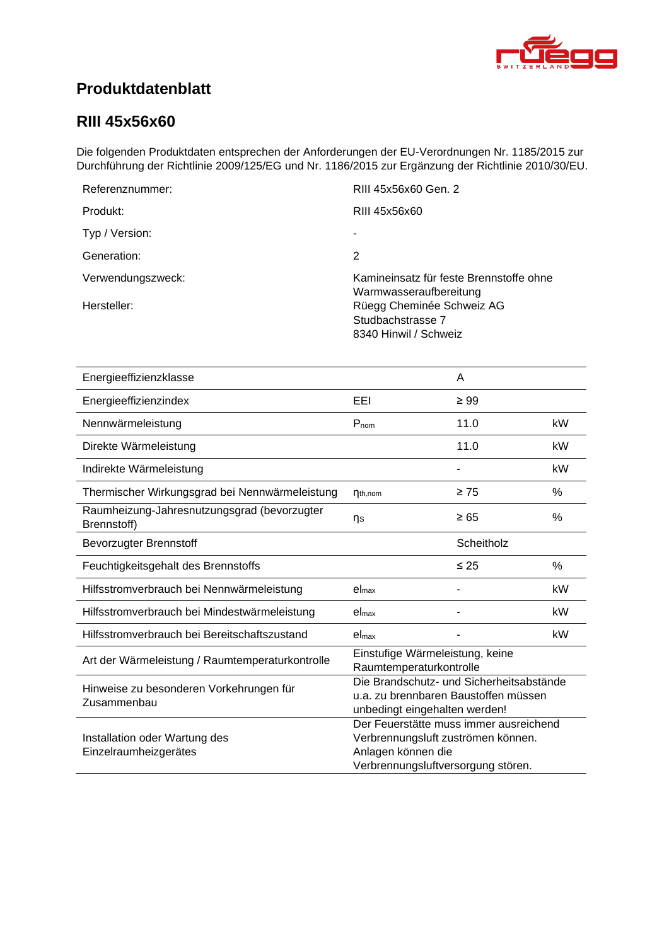<span id="page-0-4"></span><span id="page-0-3"></span><span id="page-0-2"></span><span id="page-0-1"></span>

## **Produktdatenblatt**

### <span id="page-0-0"></span>**RIII 45x56x60**

Die folgenden Produktdaten entsprechen der Anforderungen der EU-Verordnungen Nr. 1185/2015 zur Durchführung der Richtlinie 2009/125/EG und Nr. 1186/2015 zur Ergänzung der Richtlinie 2010/30/EU.

| Referenznummer:   | RIII 45x56x60 Gen. 2                                                    |
|-------------------|-------------------------------------------------------------------------|
| Produkt:          | RIII 45x56x60                                                           |
| Typ / Version:    |                                                                         |
| Generation:       | 2                                                                       |
| Verwendungszweck: | Kamineinsatz für feste Brennstoffe ohne<br>Warmwasseraufbereitung       |
| Hersteller:       | Rüegg Cheminée Schweiz AG<br>Studbachstrasse 7<br>8340 Hinwil / Schweiz |

<span id="page-0-8"></span><span id="page-0-7"></span><span id="page-0-6"></span><span id="page-0-5"></span>

| Energieeffizienzklasse                                     |                                                                                                                                          | A          |      |
|------------------------------------------------------------|------------------------------------------------------------------------------------------------------------------------------------------|------------|------|
| Energieeffizienzindex                                      | EEI                                                                                                                                      | $\geq 99$  |      |
| Nennwärmeleistung                                          | $P_{nom}$                                                                                                                                | 11.0       | kW   |
| Direkte Wärmeleistung                                      |                                                                                                                                          | 11.0       | kW   |
| Indirekte Wärmeleistung                                    |                                                                                                                                          |            | kW   |
| Thermischer Wirkungsgrad bei Nennwärmeleistung             | $\eta_{th,nom}$                                                                                                                          | $\geq 75$  | %    |
| Raumheizung-Jahresnutzungsgrad (bevorzugter<br>Brennstoff) | ηs                                                                                                                                       | $\geq 65$  | $\%$ |
| <b>Bevorzugter Brennstoff</b>                              |                                                                                                                                          | Scheitholz |      |
| Feuchtigkeitsgehalt des Brennstoffs                        |                                                                                                                                          | $\leq 25$  | %    |
| Hilfsstromverbrauch bei Nennwärmeleistung                  | el <sub>max</sub>                                                                                                                        |            | kW   |
| Hilfsstromverbrauch bei Mindestwärmeleistung               | el <sub>max</sub>                                                                                                                        |            | kW   |
| Hilfsstromverbrauch bei Bereitschaftszustand               | el <sub>max</sub>                                                                                                                        |            | kW   |
| Art der Wärmeleistung / Raumtemperaturkontrolle            | Einstufige Wärmeleistung, keine<br>Raumtemperaturkontrolle                                                                               |            |      |
| Hinweise zu besonderen Vorkehrungen für<br>Zusammenbau     | Die Brandschutz- und Sicherheitsabstände<br>u.a. zu brennbaren Baustoffen müssen<br>unbedingt eingehalten werden!                        |            |      |
| Installation oder Wartung des<br>Einzelraumheizgerätes     | Der Feuerstätte muss immer ausreichend<br>Verbrennungsluft zuströmen können.<br>Anlagen können die<br>Verbrennungsluftversorgung stören. |            |      |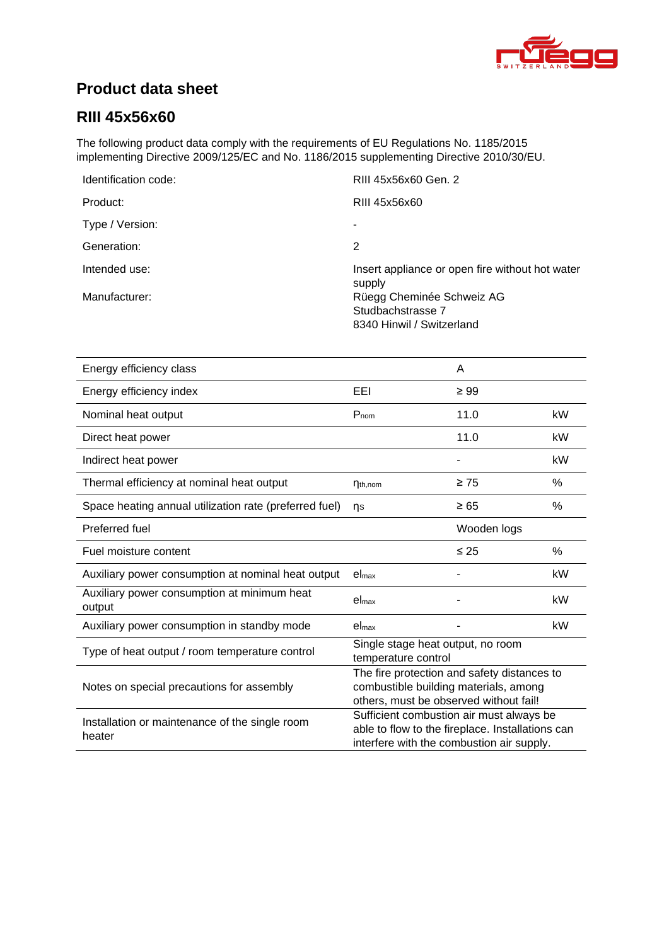

## **Product data sheet**

## **RIII [45x56x60](#page-0-0)**

The following product data comply with the requirements of EU Regulations No. 1185/2015 implementing Directive 2009/125/EC and No. 1186/2015 supplementing Directive 2010/30/EU.

| Identification code: | RIII 45x56x60 Gen. 2                                      |
|----------------------|-----------------------------------------------------------|
| Product:             | RIII 45x56x60                                             |
| Type / Version:      | ۰                                                         |
| Generation:          | 2                                                         |
| Intended use:        | Insert appliance or open fire without hot water<br>supply |
| Manufacturer:        | Rüegg Cheminée Schweiz AG                                 |
|                      | Studbachstrasse 7                                         |
|                      | 8340 Hinwil / Switzerland                                 |

| Energy efficiency class                                  |                                                                                                                                           | A           |      |
|----------------------------------------------------------|-------------------------------------------------------------------------------------------------------------------------------------------|-------------|------|
| Energy efficiency index                                  | EEI                                                                                                                                       | $\geq 99$   |      |
| Nominal heat output                                      | $P_{nom}$                                                                                                                                 | 11.0        | kW   |
| Direct heat power                                        |                                                                                                                                           | 11.0        | kW   |
| Indirect heat power                                      |                                                                                                                                           |             | kW   |
| Thermal efficiency at nominal heat output                | $\eta_{th,nom}$                                                                                                                           | $\geq 75$   | %    |
| Space heating annual utilization rate (preferred fuel)   | ns                                                                                                                                        | $\geq 65$   | %    |
| Preferred fuel                                           |                                                                                                                                           | Wooden logs |      |
| Fuel moisture content                                    |                                                                                                                                           | $\leq 25$   | $\%$ |
| Auxiliary power consumption at nominal heat output       | $el_{max}$                                                                                                                                |             | kW   |
| Auxiliary power consumption at minimum heat<br>output    | el <sub>max</sub>                                                                                                                         |             | kW   |
| Auxiliary power consumption in standby mode              | el <sub>max</sub>                                                                                                                         |             | kW   |
| Type of heat output / room temperature control           | Single stage heat output, no room<br>temperature control                                                                                  |             |      |
| Notes on special precautions for assembly                | The fire protection and safety distances to<br>combustible building materials, among<br>others, must be observed without fail!            |             |      |
| Installation or maintenance of the single room<br>heater | Sufficient combustion air must always be<br>able to flow to the fireplace. Installations can<br>interfere with the combustion air supply. |             |      |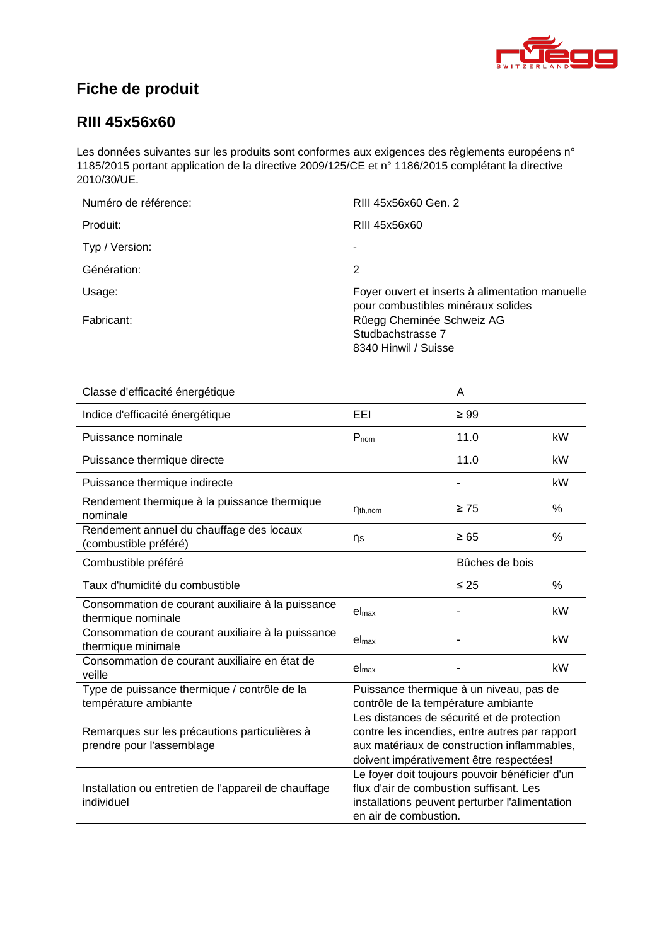

## **Fiche de produit**

### **RIII [45x56x60](#page-0-0)**

Les données suivantes sur les produits sont conformes aux exigences des règlements européens n° 1185/2015 portant application de la directive 2009/125/CE et n° 1186/2015 complétant la directive 2010/30/UE.

| Numéro de référence: | RIII 45x56x60 Gen. 2                                                                  |
|----------------------|---------------------------------------------------------------------------------------|
| Produit:             | RIII 45x56x60                                                                         |
| Typ / Version:       | ۰                                                                                     |
| Génération:          | 2                                                                                     |
| Usage:               | Foyer ouvert et inserts à alimentation manuelle<br>pour combustibles minéraux solides |
| Fabricant:           | Rüegg Cheminée Schweiz AG<br>Studbachstrasse 7<br>8340 Hinwil / Suisse                |

| Classe d'efficacité énergétique                                            |                                                                                                                                                                                        | A              |      |
|----------------------------------------------------------------------------|----------------------------------------------------------------------------------------------------------------------------------------------------------------------------------------|----------------|------|
| Indice d'efficacité énergétique                                            | EEL                                                                                                                                                                                    | $\geq 99$      |      |
| Puissance nominale                                                         | $P_{nom}$                                                                                                                                                                              | 11.0           | kW   |
| Puissance thermique directe                                                |                                                                                                                                                                                        | 11.0           | kW   |
| Puissance thermique indirecte                                              |                                                                                                                                                                                        |                | kW   |
| Rendement thermique à la puissance thermique<br>nominale                   | $\eta_{th,nom}$                                                                                                                                                                        | $\geq 75$      | $\%$ |
| Rendement annuel du chauffage des locaux<br>(combustible préféré)          | ηs                                                                                                                                                                                     | $\geq 65$      | %    |
| Combustible préféré                                                        |                                                                                                                                                                                        | Bûches de bois |      |
| Taux d'humidité du combustible                                             |                                                                                                                                                                                        | $\leq 25$      | $\%$ |
| Consommation de courant auxiliaire à la puissance<br>thermique nominale    | el <sub>max</sub>                                                                                                                                                                      |                | kW   |
| Consommation de courant auxiliaire à la puissance<br>thermique minimale    | el <sub>max</sub>                                                                                                                                                                      |                | kW   |
| Consommation de courant auxiliaire en état de<br>veille                    | el <sub>max</sub>                                                                                                                                                                      |                | kW   |
| Type de puissance thermique / contrôle de la<br>température ambiante       | Puissance thermique à un niveau, pas de<br>contrôle de la température ambiante                                                                                                         |                |      |
| Remarques sur les précautions particulières à<br>prendre pour l'assemblage | Les distances de sécurité et de protection<br>contre les incendies, entre autres par rapport<br>aux matériaux de construction inflammables,<br>doivent impérativement être respectées! |                |      |
| Installation ou entretien de l'appareil de chauffage<br>individuel         | Le foyer doit toujours pouvoir bénéficier d'un<br>flux d'air de combustion suffisant. Les<br>installations peuvent perturber l'alimentation<br>en air de combustion.                   |                |      |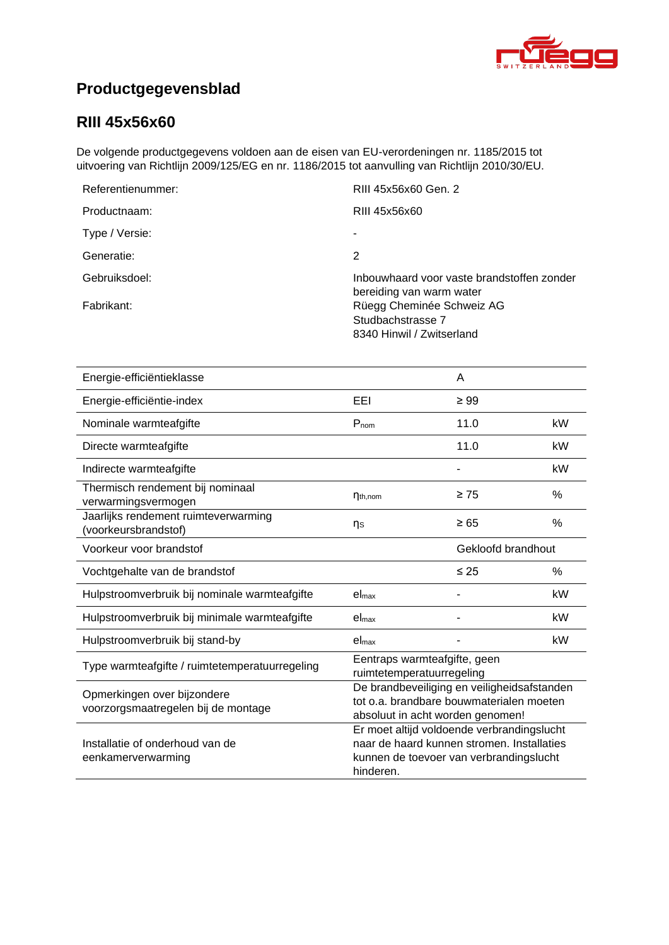

# **Productgegevensblad**

### **RIII [45x56x60](#page-0-0)**

De volgende productgegevens voldoen aan de eisen van EU-verordeningen nr. 1185/2015 tot uitvoering van Richtlijn 2009/125/EG en nr. 1186/2015 tot aanvulling van Richtlijn 2010/30/EU.

| RIII 45x56x60 Gen. 2                                                        |
|-----------------------------------------------------------------------------|
| RIII 45x56x60                                                               |
|                                                                             |
| 2                                                                           |
| Inbouwhaard voor vaste brandstoffen zonder<br>bereiding van warm water      |
| Rüegg Cheminée Schweiz AG<br>Studbachstrasse 7<br>8340 Hinwil / Zwitserland |
|                                                                             |

| Energie-efficiëntieklasse                                          |                                                                                                                                                  | A         |               |
|--------------------------------------------------------------------|--------------------------------------------------------------------------------------------------------------------------------------------------|-----------|---------------|
| Energie-efficiëntie-index                                          | EEI                                                                                                                                              | $\geq 99$ |               |
| Nominale warmteafgifte                                             | $P_{nom}$                                                                                                                                        | 11.0      | kW            |
| Directe warmteafgifte                                              |                                                                                                                                                  | 11.0      | kW            |
| Indirecte warmteafgifte                                            |                                                                                                                                                  |           | kW            |
| Thermisch rendement bij nominaal<br>verwarmingsvermogen            | $\eta_{th,nom}$                                                                                                                                  | $\geq 75$ | $\frac{0}{0}$ |
| Jaarlijks rendement ruimteverwarming<br>(voorkeursbrandstof)       | ηs                                                                                                                                               | $\geq 65$ | %             |
| Voorkeur voor brandstof                                            | Gekloofd brandhout                                                                                                                               |           |               |
| Vochtgehalte van de brandstof                                      |                                                                                                                                                  | $\leq 25$ | $\%$          |
| Hulpstroomverbruik bij nominale warmteafgifte                      | el <sub>max</sub>                                                                                                                                |           | kW            |
| Hulpstroomverbruik bij minimale warmteafgifte                      | el <sub>max</sub>                                                                                                                                |           | kW            |
| Hulpstroomverbruik bij stand-by                                    | el <sub>max</sub>                                                                                                                                |           | kW            |
| Type warmteafgifte / ruimtetemperatuurregeling                     | Eentraps warmteafgifte, geen<br>ruimtetemperatuurregeling                                                                                        |           |               |
| Opmerkingen over bijzondere<br>voorzorgsmaatregelen bij de montage | De brandbeveiliging en veiligheidsafstanden<br>tot o.a. brandbare bouwmaterialen moeten<br>absoluut in acht worden genomen!                      |           |               |
| Installatie of onderhoud van de<br>eenkamerverwarming              | Er moet altijd voldoende verbrandingslucht<br>naar de haard kunnen stromen. Installaties<br>kunnen de toevoer van verbrandingslucht<br>hinderen. |           |               |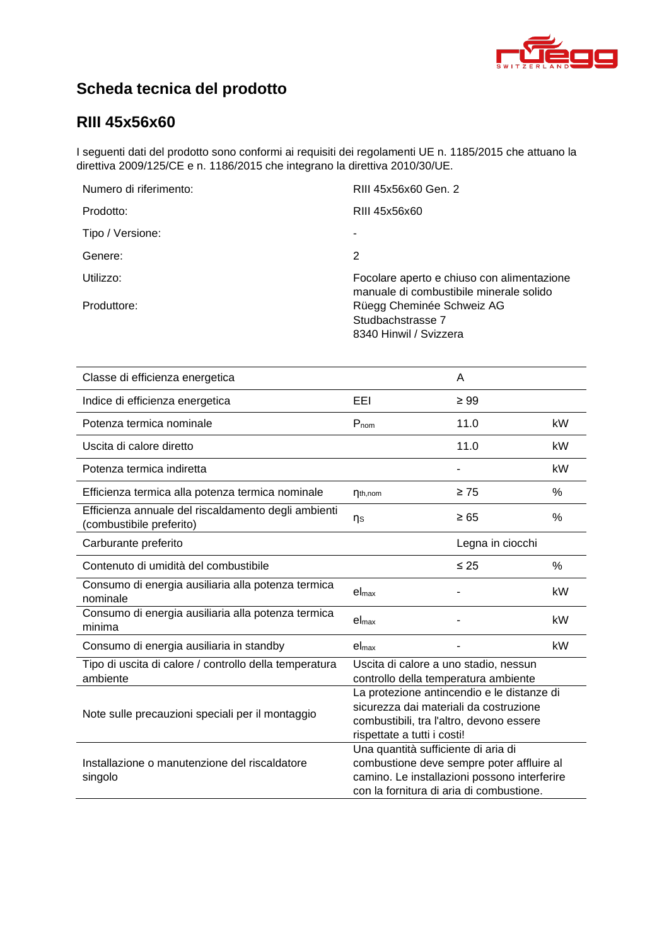

# **Scheda tecnica del prodotto**

### **RIII [45x56x60](#page-0-0)**

I seguenti dati del prodotto sono conformi ai requisiti dei regolamenti UE n. 1185/2015 che attuano la direttiva 2009/125/CE e n. 1186/2015 che integrano la direttiva 2010/30/UE.

| Numero di riferimento: | RIII 45x56x60 Gen. 2                                                                  |
|------------------------|---------------------------------------------------------------------------------------|
| Prodotto:              | RIII 45x56x60                                                                         |
| Tipo / Versione:       |                                                                                       |
| Genere:                | 2                                                                                     |
| Utilizzo:              | Focolare aperto e chiuso con alimentazione<br>manuale di combustibile minerale solido |
| Produttore:            | Rüegg Cheminée Schweiz AG<br>Studbachstrasse 7<br>8340 Hinwil / Svizzera              |

| Classe di efficienza energetica                                                 |                                                                                                                                                                              | A         |      |
|---------------------------------------------------------------------------------|------------------------------------------------------------------------------------------------------------------------------------------------------------------------------|-----------|------|
| Indice di efficienza energetica                                                 | EEL                                                                                                                                                                          | $\geq 99$ |      |
| Potenza termica nominale                                                        | Pnom                                                                                                                                                                         | 11.0      | kW   |
| Uscita di calore diretto                                                        |                                                                                                                                                                              | 11.0      | kW   |
| Potenza termica indiretta                                                       |                                                                                                                                                                              |           | kW   |
| Efficienza termica alla potenza termica nominale                                | $\eta_{th,nom}$                                                                                                                                                              | $\geq 75$ | %    |
| Efficienza annuale del riscaldamento degli ambienti<br>(combustibile preferito) | ηs                                                                                                                                                                           | $\geq 65$ | %    |
| Carburante preferito                                                            | Legna in ciocchi                                                                                                                                                             |           |      |
| Contenuto di umidità del combustibile                                           |                                                                                                                                                                              | $\leq 25$ | $\%$ |
| Consumo di energia ausiliaria alla potenza termica<br>nominale                  | el <sub>max</sub>                                                                                                                                                            |           | kW   |
| Consumo di energia ausiliaria alla potenza termica<br>minima                    | el <sub>max</sub>                                                                                                                                                            |           | kW   |
| Consumo di energia ausiliaria in standby                                        | el <sub>max</sub>                                                                                                                                                            |           | kW   |
| Tipo di uscita di calore / controllo della temperatura<br>ambiente              | Uscita di calore a uno stadio, nessun<br>controllo della temperatura ambiente                                                                                                |           |      |
| Note sulle precauzioni speciali per il montaggio                                | La protezione antincendio e le distanze di<br>sicurezza dai materiali da costruzione<br>combustibili, tra l'altro, devono essere<br>rispettate a tutti i costi!              |           |      |
| Installazione o manutenzione del riscaldatore<br>singolo                        | Una quantità sufficiente di aria di<br>combustione deve sempre poter affluire al<br>camino. Le installazioni possono interferire<br>con la fornitura di aria di combustione. |           |      |